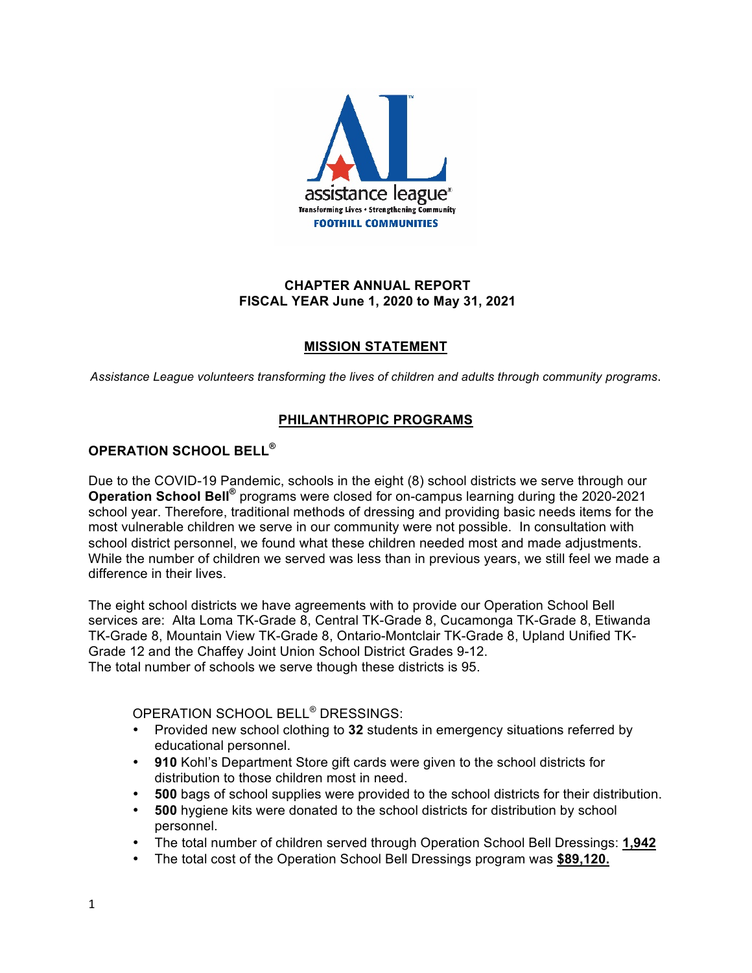

## **CHAPTER ANNUAL REPORT FISCAL YEAR June 1, 2020 to May 31, 2021**

# **MISSION STATEMENT**

*Assistance League volunteers transforming the lives of children and adults through community programs*.

# **PHILANTHROPIC PROGRAMS**

# **OPERATION SCHOOL BELL®**

Due to the COVID-19 Pandemic, schools in the eight (8) school districts we serve through our **Operation School Bell®** programs were closed for on-campus learning during the 2020-2021 school year. Therefore, traditional methods of dressing and providing basic needs items for the most vulnerable children we serve in our community were not possible. In consultation with school district personnel, we found what these children needed most and made adjustments. While the number of children we served was less than in previous years, we still feel we made a difference in their lives.

The eight school districts we have agreements with to provide our Operation School Bell services are: Alta Loma TK-Grade 8, Central TK-Grade 8, Cucamonga TK-Grade 8, Etiwanda TK-Grade 8, Mountain View TK-Grade 8, Ontario-Montclair TK-Grade 8, Upland Unified TK-Grade 12 and the Chaffey Joint Union School District Grades 9-12. The total number of schools we serve though these districts is 95.

OPERATION SCHOOL BELL® DRESSINGS:

- Provided new school clothing to **32** students in emergency situations referred by educational personnel.
- **910** Kohl's Department Store gift cards were given to the school districts for distribution to those children most in need.
- **500** bags of school supplies were provided to the school districts for their distribution.
- **500** hygiene kits were donated to the school districts for distribution by school personnel.
- The total number of children served through Operation School Bell Dressings: **1,942**
- The total cost of the Operation School Bell Dressings program was **\$89,120.**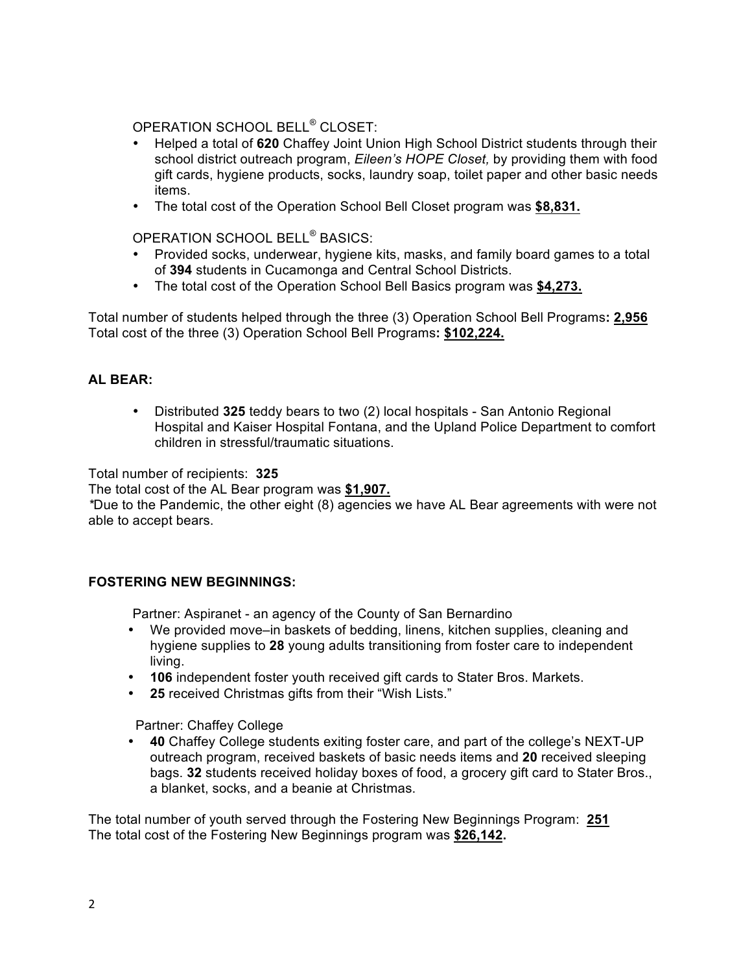OPERATION SCHOOL BELL® CLOSET:

- Helped a total of **620** Chaffey Joint Union High School District students through their school district outreach program, *Eileen's HOPE Closet,* by providing them with food gift cards, hygiene products, socks, laundry soap, toilet paper and other basic needs items.
- The total cost of the Operation School Bell Closet program was **\$8,831.**

OPERATION SCHOOL BELL® BASICS:

- Provided socks, underwear, hygiene kits, masks, and family board games to a total of **394** students in Cucamonga and Central School Districts.
- The total cost of the Operation School Bell Basics program was **\$4,273.**

Total number of students helped through the three (3) Operation School Bell Programs**: 2,956** Total cost of the three (3) Operation School Bell Programs**: \$102,224.**

## **AL BEAR:**

• Distributed **325** teddy bears to two (2) local hospitals - San Antonio Regional Hospital and Kaiser Hospital Fontana, and the Upland Police Department to comfort children in stressful/traumatic situations.

Total number of recipients: **325**

The total cost of the AL Bear program was **\$1,907.**

*\**Due to the Pandemic, the other eight (8) agencies we have AL Bear agreements with were not able to accept bears.

## **FOSTERING NEW BEGINNINGS:**

Partner: Aspiranet - an agency of the County of San Bernardino

- We provided move–in baskets of bedding, linens, kitchen supplies, cleaning and hygiene supplies to **28** young adults transitioning from foster care to independent living.
- **106** independent foster youth received gift cards to Stater Bros. Markets.
- **25** received Christmas gifts from their "Wish Lists."

Partner: Chaffey College

• **40** Chaffey College students exiting foster care, and part of the college's NEXT-UP outreach program, received baskets of basic needs items and **20** received sleeping bags. **32** students received holiday boxes of food, a grocery gift card to Stater Bros., a blanket, socks, and a beanie at Christmas.

The total number of youth served through the Fostering New Beginnings Program: **251** The total cost of the Fostering New Beginnings program was **\$26,142.**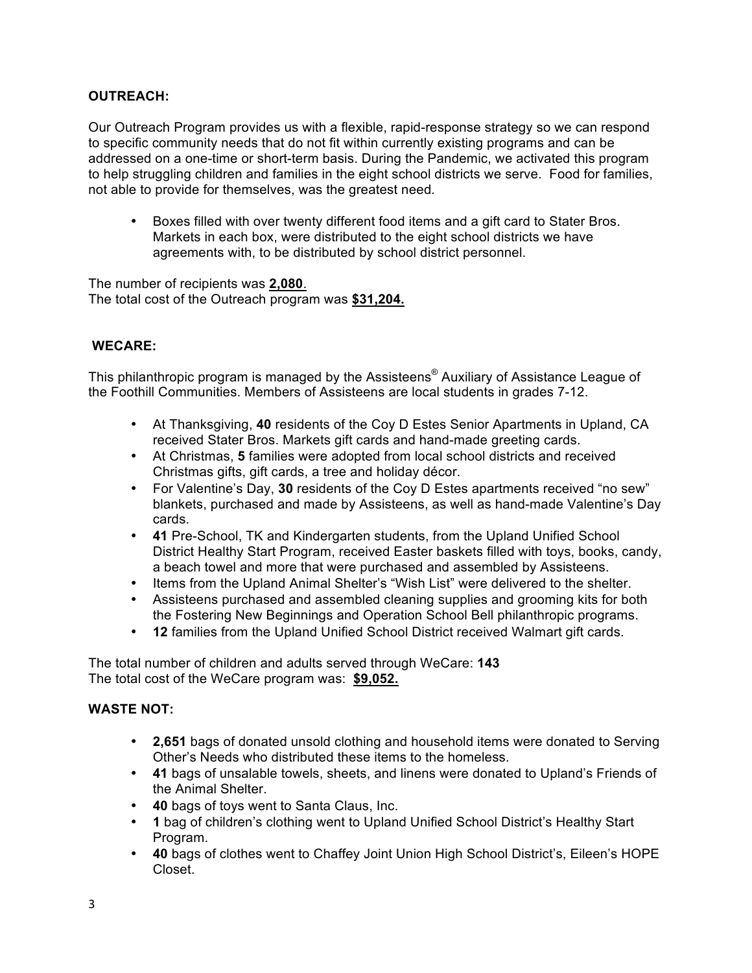## **OUTREACH:**

Our Outreach Program provides us with a flexible, rapid-response strategy so we can respond to specific community needs that do not fit within currently existing programs and can be addressed on a one-time or short-term basis. During the Pandemic, we activated this program to help struggling children and families in the eight school districts we serve. Food for families, not able to provide for themselves, was the greatest need*.* 

• Boxes filled with over twenty different food items and a gift card to Stater Bros. Markets in each box, were distributed to the eight school districts we have agreements with, to be distributed by school district personnel.

The number of recipients was **2,080**. The total cost of the Outreach program was **\$31,204.**

## **WECARE:**

This philanthropic program is managed by the Assisteens® Auxiliary of Assistance League of the Foothill Communities. Members of Assisteens are local students in grades 7-12.

- At Thanksgiving, **40** residents of the Coy D Estes Senior Apartments in Upland, CA received Stater Bros. Markets gift cards and hand-made greeting cards.
- At Christmas, **5** families were adopted from local school districts and received Christmas gifts, gift cards, a tree and holiday décor.
- For Valentine's Day, **30** residents of the Coy D Estes apartments received "no sew" blankets, purchased and made by Assisteens, as well as hand-made Valentine's Day cards.
- **41** Pre-School, TK and Kindergarten students, from the Upland Unified School District Healthy Start Program, received Easter baskets filled with toys, books, candy, a beach towel and more that were purchased and assembled by Assisteens.
- Items from the Upland Animal Shelter's "Wish List" were delivered to the shelter.
- Assisteens purchased and assembled cleaning supplies and grooming kits for both the Fostering New Beginnings and Operation School Bell philanthropic programs.
- **12** families from the Upland Unified School District received Walmart gift cards.

The total number of children and adults served through WeCare: **143** The total cost of the WeCare program was: **\$9,052.**

## **WASTE NOT:**

- **2,651** bags of donated unsold clothing and household items were donated to Serving Other's Needs who distributed these items to the homeless.
- **41** bags of unsalable towels, sheets, and linens were donated to Upland's Friends of the Animal Shelter.
- **40** bags of toys went to Santa Claus, Inc.
- **1** bag of children's clothing went to Upland Unified School District's Healthy Start Program.
- **40** bags of clothes went to Chaffey Joint Union High School District's, Eileen's HOPE Closet.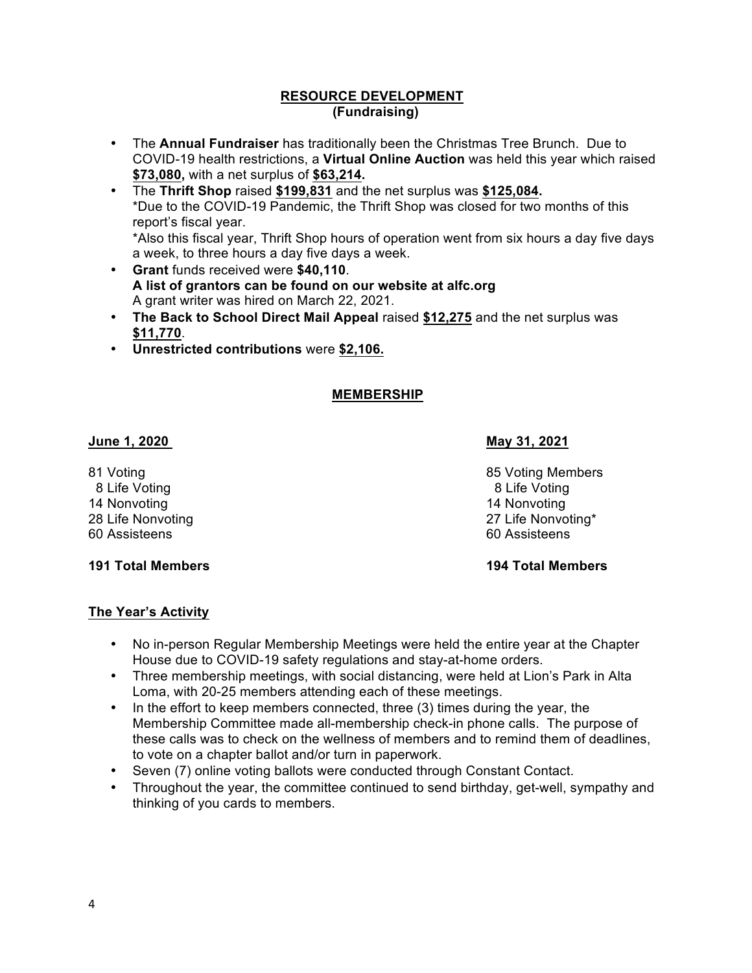#### **RESOURCE DEVELOPMENT (Fundraising)**

- The **Annual Fundraiser** has traditionally been the Christmas Tree Brunch. Due to COVID-19 health restrictions, a **Virtual Online Auction** was held this year which raised **\$73,080,** with a net surplus of **\$63,214.**
- The **Thrift Shop** raised **\$199,831** and the net surplus was **\$125,084.** \*Due to the COVID-19 Pandemic, the Thrift Shop was closed for two months of this report's fiscal year. \*Also this fiscal year, Thrift Shop hours of operation went from six hours a day five days a week, to three hours a day five days a week.
- **Grant** funds received were **\$40,110**. **A list of grantors can be found on our website at alfc.org**  A grant writer was hired on March 22, 2021.
- **The Back to School Direct Mail Appeal** raised **\$12,275** and the net surplus was **\$11,770**.
- **Unrestricted contributions** were **\$2,106.**

# **MEMBERSHIP**

## **June 1, 2020 May 31, 2021**

8 Life Voting 8 Life Voting 8 Life Voting 8 Life Voting 8 Life Voting 8 Life Voting 8 Life Voting 8 Life Voting 1 14 Nonvoting 14 Nonvoting 60 Assisteens 60 Assisteens

# **191 Total Members 194 Total Members**

81 Voting **81 Voting 1992 85 Voting Members** 28 Life Nonvoting 27 Life Nonvoting 27 Life Nonvoting 20 Life Nonvoting 27 Life Nonvoting 27 Life Nonvoting 20 Life Nonvoting 27 Life Nonvoting 27 Life Nonvoting 20 Life Nonvoting 20 Life Nonvoting 20 Life Nonvoting 20 Lif

# **The Year's Activity**

- No in-person Regular Membership Meetings were held the entire year at the Chapter House due to COVID-19 safety regulations and stay-at-home orders.
- Three membership meetings, with social distancing, were held at Lion's Park in Alta Loma, with 20-25 members attending each of these meetings.
- In the effort to keep members connected, three (3) times during the year, the Membership Committee made all-membership check-in phone calls. The purpose of these calls was to check on the wellness of members and to remind them of deadlines, to vote on a chapter ballot and/or turn in paperwork.
- Seven (7) online voting ballots were conducted through Constant Contact.
- Throughout the year, the committee continued to send birthday, get-well, sympathy and thinking of you cards to members.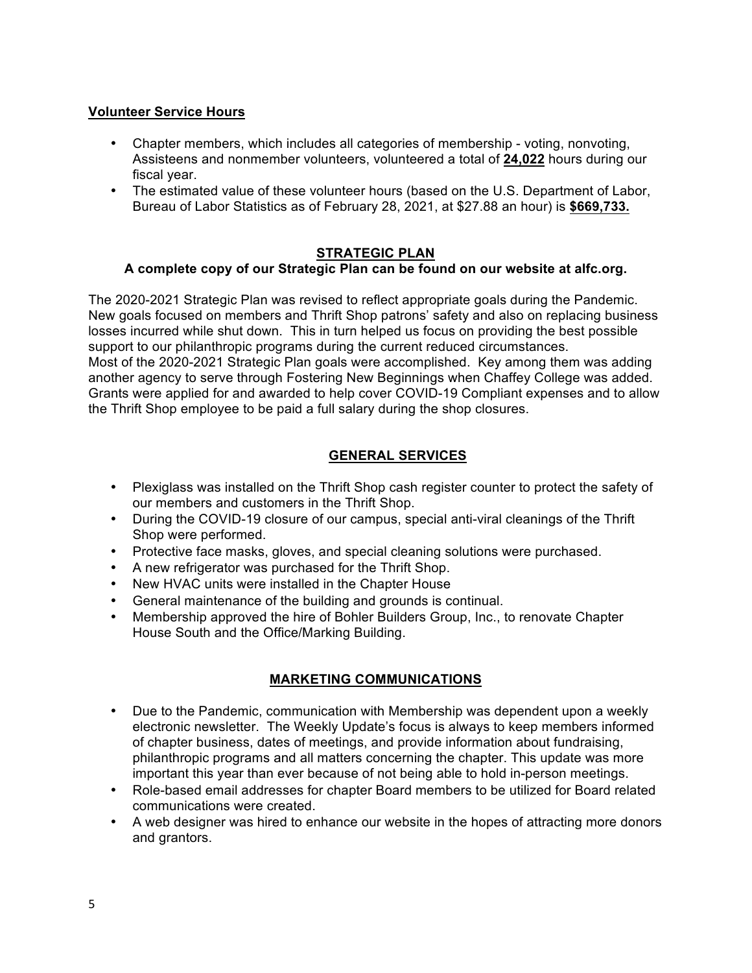## **Volunteer Service Hours**

- Chapter members, which includes all categories of membership voting, nonvoting, Assisteens and nonmember volunteers, volunteered a total of **24,022** hours during our fiscal year.
- The estimated value of these volunteer hours (based on the U.S. Department of Labor, Bureau of Labor Statistics as of February 28, 2021, at \$27.88 an hour) is **\$669,733.**

## **STRATEGIC PLAN**

## **A complete copy of our Strategic Plan can be found on our website at alfc.org.**

The 2020-2021 Strategic Plan was revised to reflect appropriate goals during the Pandemic. New goals focused on members and Thrift Shop patrons' safety and also on replacing business losses incurred while shut down. This in turn helped us focus on providing the best possible support to our philanthropic programs during the current reduced circumstances. Most of the 2020-2021 Strategic Plan goals were accomplished. Key among them was adding another agency to serve through Fostering New Beginnings when Chaffey College was added. Grants were applied for and awarded to help cover COVID-19 Compliant expenses and to allow the Thrift Shop employee to be paid a full salary during the shop closures.

# **GENERAL SERVICES**

- Plexiglass was installed on the Thrift Shop cash register counter to protect the safety of our members and customers in the Thrift Shop.
- During the COVID-19 closure of our campus, special anti-viral cleanings of the Thrift Shop were performed.
- Protective face masks, gloves, and special cleaning solutions were purchased.
- A new refrigerator was purchased for the Thrift Shop.
- New HVAC units were installed in the Chapter House
- General maintenance of the building and grounds is continual.
- Membership approved the hire of Bohler Builders Group, Inc., to renovate Chapter House South and the Office/Marking Building.

# **MARKETING COMMUNICATIONS**

- Due to the Pandemic, communication with Membership was dependent upon a weekly electronic newsletter. The Weekly Update's focus is always to keep members informed of chapter business, dates of meetings, and provide information about fundraising, philanthropic programs and all matters concerning the chapter. This update was more important this year than ever because of not being able to hold in-person meetings.
- Role-based email addresses for chapter Board members to be utilized for Board related communications were created.
- A web designer was hired to enhance our website in the hopes of attracting more donors and grantors.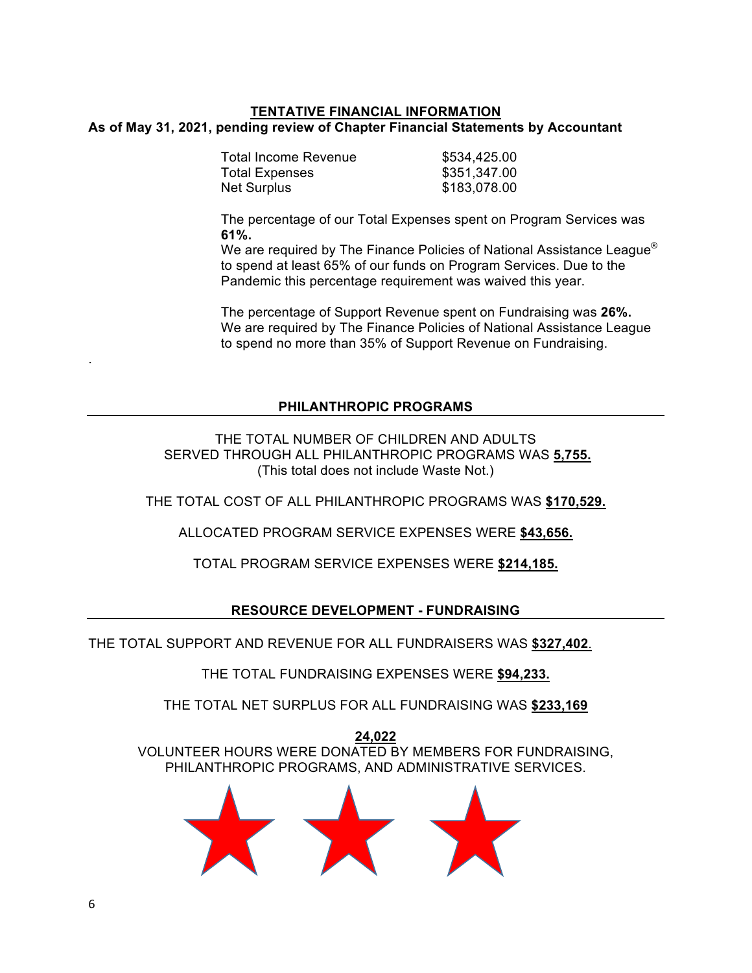## **TENTATIVE FINANCIAL INFORMATION As of May 31, 2021, pending review of Chapter Financial Statements by Accountant**

| Total Income Revenue  | \$534,425.00 |
|-----------------------|--------------|
| <b>Total Expenses</b> | \$351,347.00 |
| <b>Net Surplus</b>    | \$183,078.00 |
|                       |              |

The percentage of our Total Expenses spent on Program Services was **61%.**

We are required by The Finance Policies of National Assistance League<sup>®</sup> to spend at least 65% of our funds on Program Services. Due to the Pandemic this percentage requirement was waived this year.

The percentage of Support Revenue spent on Fundraising was **26%.** We are required by The Finance Policies of National Assistance League to spend no more than 35% of Support Revenue on Fundraising.

## **PHILANTHROPIC PROGRAMS**

THE TOTAL NUMBER OF CHILDREN AND ADULTS SERVED THROUGH ALL PHILANTHROPIC PROGRAMS WAS **5,755.** (This total does not include Waste Not.)

THE TOTAL COST OF ALL PHILANTHROPIC PROGRAMS WAS **\$170,529.**

ALLOCATED PROGRAM SERVICE EXPENSES WERE **\$43,656.**

TOTAL PROGRAM SERVICE EXPENSES WERE **\$214,185.**

## **RESOURCE DEVELOPMENT - FUNDRAISING**

THE TOTAL SUPPORT AND REVENUE FOR ALL FUNDRAISERS WAS **\$327,402**.

THE TOTAL FUNDRAISING EXPENSES WERE **\$94,233.**

THE TOTAL NET SURPLUS FOR ALL FUNDRAISING WAS **\$233,169**

**24,022** VOLUNTEER HOURS WERE DONATED BY MEMBERS FOR FUNDRAISING, PHILANTHROPIC PROGRAMS, AND ADMINISTRATIVE SERVICES.



.